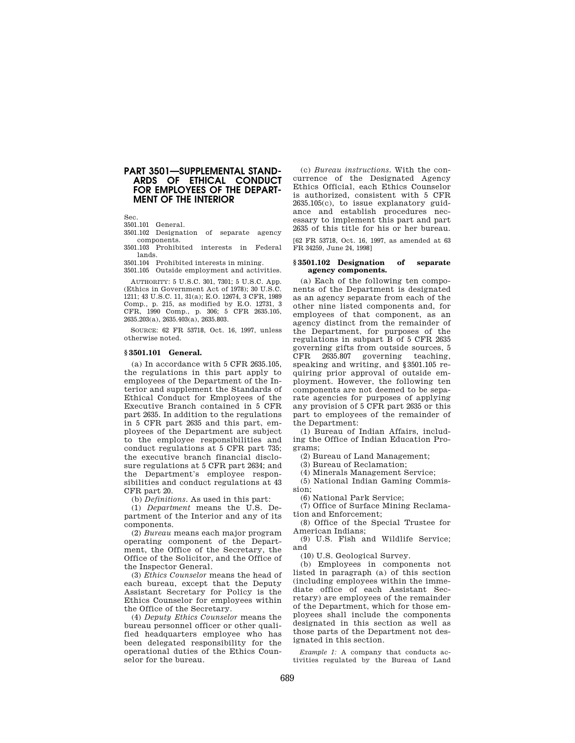## **PART 3501—SUPPLEMENTAL STAND-ARDS OF ETHICAL CONDUCT FOR EMPLOYEES OF THE DEPART-MENT OF THE INTERIOR**

Sec.

3501.101 General.

 3501.102 Designation of separate agency components.

3501.103 Prohibited interests in Federal lands.

3501.104 Prohibited interests in mining. 3501.105 Outside employment and activities.

AUTHORITY: 5 U.S.C. 301, 7301; 5 U.S.C. App. (Ethics in Government Act of 1978); 30 U.S.C. 1211; 43 U.S.C. 11, 31(a); E.O. 12674, 3 CFR, 1989 Comp., p. 215, as modified by E.O. 12731, 3 CFR, 1990 Comp., p. 306; 5 CFR 2635.105, 2635.203(a), 2635.403(a), 2635.803.

SOURCE: 62 FR 53718, Oct. 16, 1997, unless otherwise noted.

#### **§ 3501.101 General.**

(a) In accordance with 5 CFR 2635.105, the regulations in this part apply to employees of the Department of the Interior and supplement the Standards of Ethical Conduct for Employees of the Executive Branch contained in 5 CFR part 2635. In addition to the regulations in 5 CFR part 2635 and this part, employees of the Department are subject to the employee responsibilities and conduct regulations at 5 CFR part 735; the executive branch financial disclosure regulations at 5 CFR part 2634; and the Department's employee responsibilities and conduct regulations at 43 CFR part 20.

(b) *Definitions*. As used in this part:

(1) *Department* means the U.S. Department of the Interior and any of its components.

(2) *Bureau* means each major program operating component of the Department, the Office of the Secretary, the Office of the Solicitor, and the Office of the Inspector General.

(3) *Ethics Counselor* means the head of each bureau, except that the Deputy Assistant Secretary for Policy is the Ethics Counselor for employees within the Office of the Secretary.

(4) *Deputy Ethics Counselor* means the bureau personnel officer or other qualified headquarters employee who has been delegated responsibility for the operational duties of the Ethics Counselor for the bureau.

(c) *Bureau instructions.* With the concurrence of the Designated Agency Ethics Official, each Ethics Counselor is authorized, consistent with 5 CFR 2635.105(c), to issue explanatory guidance and establish procedures necessary to implement this part and part 2635 of this title for his or her bureau.

[62 FR 53718, Oct. 16, 1997, as amended at 63 FR 34259, June 24, 1998]

#### **§ 3501.102 Designation of separate agency components.**

(a) Each of the following ten components of the Department is designated as an agency separate from each of the other nine listed components and, for employees of that component, as an agency distinct from the remainder of the Department, for purposes of the regulations in subpart B of 5 CFR 2635 governing gifts from outside sources, 5 CFR 2635.807 governing teaching, speaking and writing, and § 3501.105 requiring prior approval of outside employment. However, the following ten components are not deemed to be separate agencies for purposes of applying any provision of 5 CFR part 2635 or this part to employees of the remainder of the Department:

(1) Bureau of Indian Affairs, including the Office of Indian Education Programs;

(2) Bureau of Land Management;

(3) Bureau of Reclamation;

(4) Minerals Management Service;

(5) National Indian Gaming Commission;

(6) National Park Service;

(7) Office of Surface Mining Reclama-

tion and Enforcement; (8) Office of the Special Trustee for American Indians;

(9) U.S. Fish and Wildlife Service; and

(10) U.S. Geological Survey.

(b) Employees in components not listed in paragraph (a) of this section (including employees within the immediate office of each Assistant Secretary) are employees of the remainder of the Department, which for those employees shall include the components designated in this section as well as those parts of the Department not designated in this section.

*Example 1:* A company that conducts activities regulated by the Bureau of Land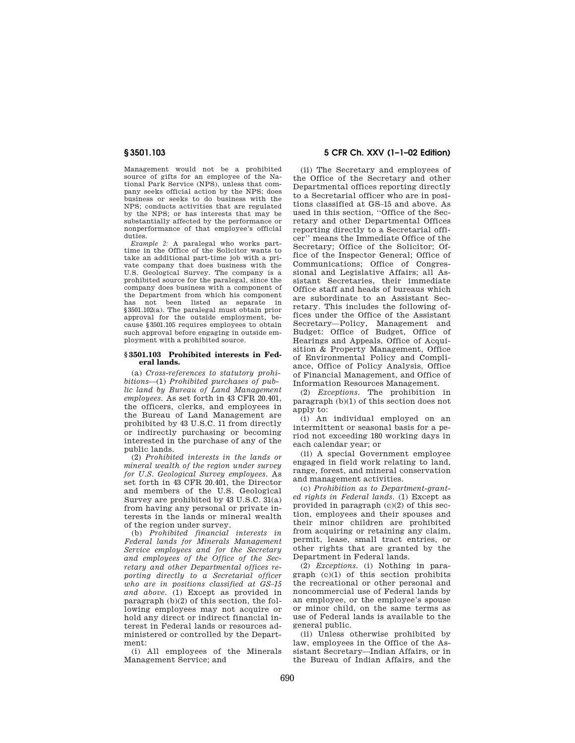Management would not be a prohibited source of gifts for an employee of the National Park Service (NPS), unless that company seeks official action by the NPS; does business or seeks to do business with the NPS; conducts activities that are regulated by the NPS; or has interests that may be substantially affected by the performance or nonperformance of that employee's official duties.

*Example 2:* A paralegal who works parttime in the Office of the Solicitor wants to take an additional part-time job with a private company that does business with the U.S. Geological Survey. The company is a prohibited source for the paralegal, since the company does business with a component of the Department from which his component<br>has not been listed as separate in has not been listed as separate in § 3501.102(a). The paralegal must obtain prior approval for the outside employment, because § 3501.105 requires employees to obtain such approval before engaging in outside employment with a prohibited source.

### **§ 3501.103 Prohibited interests in Federal lands.**

(a) *Cross-references to statutory prohibitions*—(1) *Prohibited purchases of public land by Bureau of Land Management employees.* As set forth in 43 CFR 20.401, the officers, clerks, and employees in the Bureau of Land Management are prohibited by 43 U.S.C. 11 from directly or indirectly purchasing or becoming interested in the purchase of any of the public lands.

(2) *Prohibited interests in the lands or mineral wealth of the region under survey for U.S. Geological Survey employees.* As set forth in 43 CFR 20.401, the Director and members of the U.S. Geological Survey are prohibited by 43 U.S.C. 31(a) from having any personal or private interests in the lands or mineral wealth of the region under survey.

(b) *Prohibited financial interests in Federal lands for Minerals Management Service employees and for the Secretary and employees of the Office of the Secretary and other Departmental offices reporting directly to a Secretarial officer who are in positions classified at GS–15 and above.* (1) Except as provided in paragraph (b)(2) of this section, the following employees may not acquire or hold any direct or indirect financial interest in Federal lands or resources administered or controlled by the Department:

(i) All employees of the Minerals Management Service; and

# **5 CFR Ch. XXV (1–1–02 Edition)**

(ii) The Secretary and employees of the Office of the Secretary and other Departmental offices reporting directly to a Secretarial officer who are in positions classified at GS–15 and above. As used in this section, ''Office of the Secretary and other Departmental Offices reporting directly to a Secretarial officer'' means the Immediate Office of the Secretary; Office of the Solicitor; Office of the Inspector General; Office of Communications; Office of Congressional and Legislative Affairs; all Assistant Secretaries, their immediate Office staff and heads of bureaus which are subordinate to an Assistant Secretary. This includes the following offices under the Office of the Assistant Secretary—Policy, Management and Budget: Office of Budget, Office of Hearings and Appeals, Office of Acquisition & Property Management, Office of Environmental Policy and Compliance, Office of Policy Analysis, Office of Financial Management, and Office of Information Resources Management.

(2) *Exceptions.* The prohibition in paragraph (b)(1) of this section does not apply to:

(i) An individual employed on an intermittent or seasonal basis for a period not exceeding 180 working days in each calendar year; or

(ii) A special Government employee engaged in field work relating to land, range, forest, and mineral conservation and management activities.

(c) *Prohibition as to Department-granted rights in Federal lands.* (1) Except as provided in paragraph  $(c)(2)$  of this section, employees and their spouses and their minor children are prohibited from acquiring or retaining any claim, permit, lease, small tract entries, or other rights that are granted by the Department in Federal lands.

(2) *Exceptions.* (i) Nothing in paragraph (c)(1) of this section prohibits the recreational or other personal and noncommercial use of Federal lands by an employee, or the employee's spouse or minor child, on the same terms as use of Federal lands is available to the general public.

(ii) Unless otherwise prohibited by law, employees in the Office of the Assistant Secretary—Indian Affairs, or in the Bureau of Indian Affairs, and the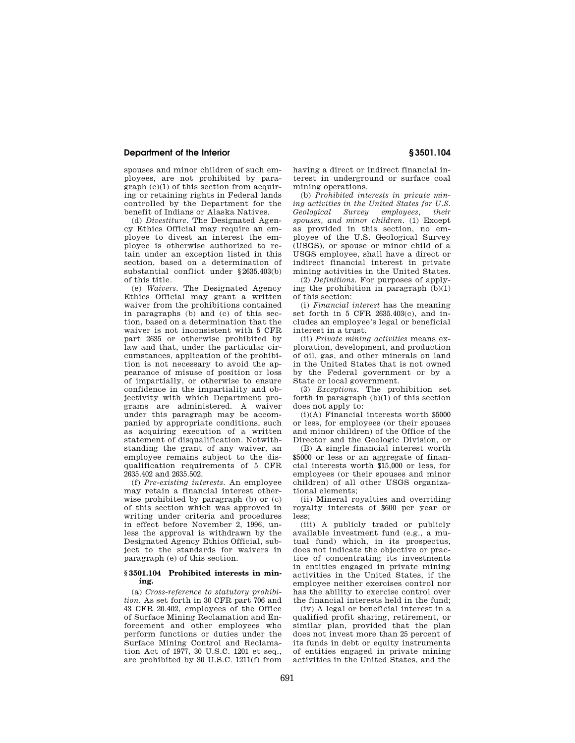## **Department of the Interior**

spouses and minor children of such employees, are not prohibited by paragraph  $(c)(1)$  of this section from acquiring or retaining rights in Federal lands controlled by the Department for the benefit of Indians or Alaska Natives.

(d) *Divestiture.* The Designated Agency Ethics Official may require an employee to divest an interest the employee is otherwise authorized to retain under an exception listed in this section, based on a determination of substantial conflict under § 2635.403(b) of this title.

(e) *Waivers.* The Designated Agency Ethics Official may grant a written waiver from the prohibitions contained in paragraphs  $(b)$  and  $(c)$  of this section, based on a determination that the waiver is not inconsistent with 5 CFR part 2635 or otherwise prohibited by law and that, under the particular circumstances, application of the prohibition is not necessary to avoid the appearance of misuse of position or loss of impartially, or otherwise to ensure confidence in the impartiality and objectivity with which Department programs are administered. A waiver under this paragraph may be accompanied by appropriate conditions, such as acquiring execution of a written statement of disqualification. Notwithstanding the grant of any waiver, an employee remains subject to the disqualification requirements of 5 CFR 2635.402 and 2635.502.

(f) *Pre-existing interests.* An employee may retain a financial interest otherwise prohibited by paragraph (b) or (c) of this section which was approved in writing under criteria and procedures in effect before November 2, 1996, unless the approval is withdrawn by the Designated Agency Ethics Official, subject to the standards for waivers in paragraph (e) of this section.

### **§ 3501.104 Prohibited interests in mining.**

(a) *Cross-reference to statutory prohibition.* As set forth in 30 CFR part 706 and 43 CFR 20.402, employees of the Office of Surface Mining Reclamation and Enforcement and other employees who perform functions or duties under the Surface Mining Control and Reclamation Act of 1977, 30 U.S.C. 1201 et seq., are prohibited by 30 U.S.C. 1211(f) from having a direct or indirect financial interest in underground or surface coal mining operations.

(b) *Prohibited interests in private mining activities in the United States for U.S. Geological Survey employees, their spouses, and minor children.* (1) Except as provided in this section, no employee of the U.S. Geological Survey (USGS), or spouse or minor child of a USGS employee, shall have a direct or indirect financial interest in private mining activities in the United States.

(2) *Definitions.* For purposes of applying the prohibition in paragraph  $(b)(1)$ of this section:

(i) *Financial interest* has the meaning set forth in 5 CFR 2635.403(c), and includes an employee's legal or beneficial interest in a trust.

(ii) *Private mining activities* means exploration, development, and production of oil, gas, and other minerals on land in the United States that is not owned by the Federal government or by a State or local government.

(3) *Exceptions.* The prohibition set forth in paragraph  $(b)(1)$  of this section does not apply to:

(i)(A) Financial interests worth \$5000 or less, for employees (or their spouses and minor children) of the Office of the Director and the Geologic Division, or

(B) A single financial interest worth \$5000 or less or an aggregate of financial interests worth \$15,000 or less, for employees (or their spouses and minor children) of all other USGS organizational elements;

(ii) Mineral royalties and overriding royalty interests of \$600 per year or less;

(iii) A publicly traded or publicly available investment fund (e.g., a mutual fund) which, in its prospectus, does not indicate the objective or practice of concentrating its investments in entities engaged in private mining activities in the United States, if the employee neither exercises control nor has the ability to exercise control over the financial interests held in the fund;

(iv) A legal or beneficial interest in a qualified profit sharing, retirement, or similar plan, provided that the plan does not invest more than 25 percent of its funds in debt or equity instruments of entities engaged in private mining activities in the United States, and the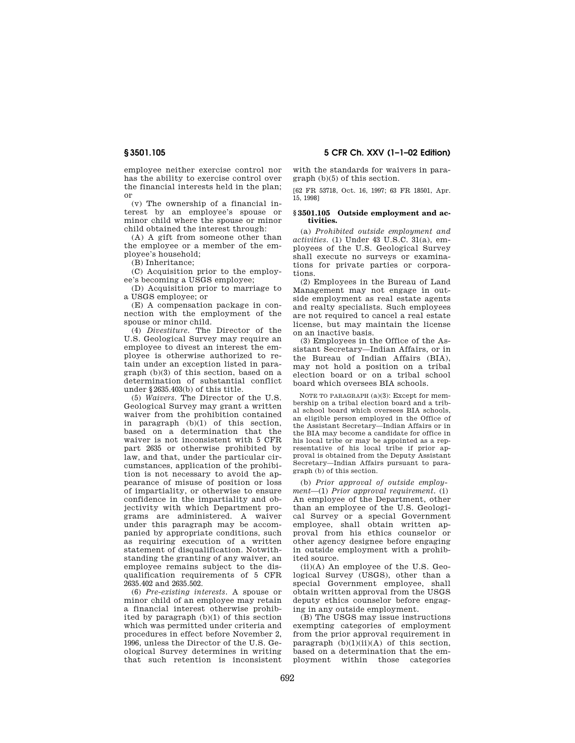employee neither exercise control nor has the ability to exercise control over the financial interests held in the plan; or

(v) The ownership of a financial interest by an employee's spouse or minor child where the spouse or minor child obtained the interest through:

(A) A gift from someone other than the employee or a member of the employee's household;

(B) Inheritance;

(C) Acquisition prior to the employee's becoming a USGS employee;

(D) Acquisition prior to marriage to a USGS employee; or

(E) A compensation package in connection with the employment of the spouse or minor child.

(4) *Divestiture.* The Director of the U.S. Geological Survey may require an employee to divest an interest the employee is otherwise authorized to retain under an exception listed in paragraph (b)(3) of this section, based on a determination of substantial conflict under § 2635.403(b) of this title.

(5) *Waivers.* The Director of the U.S. Geological Survey may grant a written waiver from the prohibition contained in paragraph  $(b)(1)$  of this section, based on a determination that the waiver is not inconsistent with 5 CFR part 2635 or otherwise prohibited by law, and that, under the particular circumstances, application of the prohibition is not necessary to avoid the appearance of misuse of position or loss of impartiality, or otherwise to ensure confidence in the impartiality and objectivity with which Department programs are administered. A waiver under this paragraph may be accompanied by appropriate conditions, such as requiring execution of a written statement of disqualification. Notwithstanding the granting of any waiver, an employee remains subject to the disqualification requirements of 5 CFR 2635.402 and 2635.502.

(6) *Pre-existing interests.* A spouse or minor child of an employee may retain a financial interest otherwise prohibited by paragraph (b)(1) of this section which was permitted under criteria and procedures in effect before November 2, 1996, unless the Director of the U.S. Geological Survey determines in writing that such retention is inconsistent **5 CFR Ch. XXV (1– 1– 02 Edition)** 

with the standards for waivers in paragraph (b)(5) of this section.

[62 FR 53718, Oct. 16, 1997; 63 FR 18501, Apr. 15, 1998]

### **§ 3501.105 Outside employment and activities.**

(a) *Prohibited outside employment and activities.* (1) Under 43 U.S.C. 31(a), employees of the U.S. Geological Survey shall execute no surveys or examinations for private parties or corporations.

(2) Employees in the Bureau of Land Management may not engage in outside employment as real estate agents and realty specialists. Such employees are not required to cancel a real estate license, but may maintain the license on an inactive basis.

(3) Employees in the Office of the Assistant Secretary—Indian Affairs, or in the Bureau of Indian Affairs (BIA), may not hold a position on a tribal election board or on a tribal school board which oversees BIA schools.

NOTE TO PARAGRAPH (a)(3): Except for membership on a tribal election board and a tribal school board which oversees BIA schools, an eligible person employed in the Office of the Assistant Secretary—Indian Affairs or in the BIA may become a candidate for office in his local tribe or may be appointed as a representative of his local tribe if prior approval is obtained from the Deputy Assistant Secretary—Indian Affairs pursuant to paragraph (b) of this section.

(b) *Prior approval of outside employment*—(1) *Prior approval requirement.* (i) An employee of the Department, other than an employee of the U.S. Geological Survey or a special Government employee, shall obtain written approval from his ethics counselor or other agency designee before engaging in outside employment with a prohibited source.

(ii)(A) An employee of the U.S. Geological Survey (USGS), other than a special Government employee, shall obtain written approval from the USGS deputy ethics counselor before engaging in any outside employment.

(B) The USGS may issue instructions exempting categories of employment from the prior approval requirement in paragraph  $(b)(1)(ii)(A)$  of this section. based on a determination that the employment within those categories